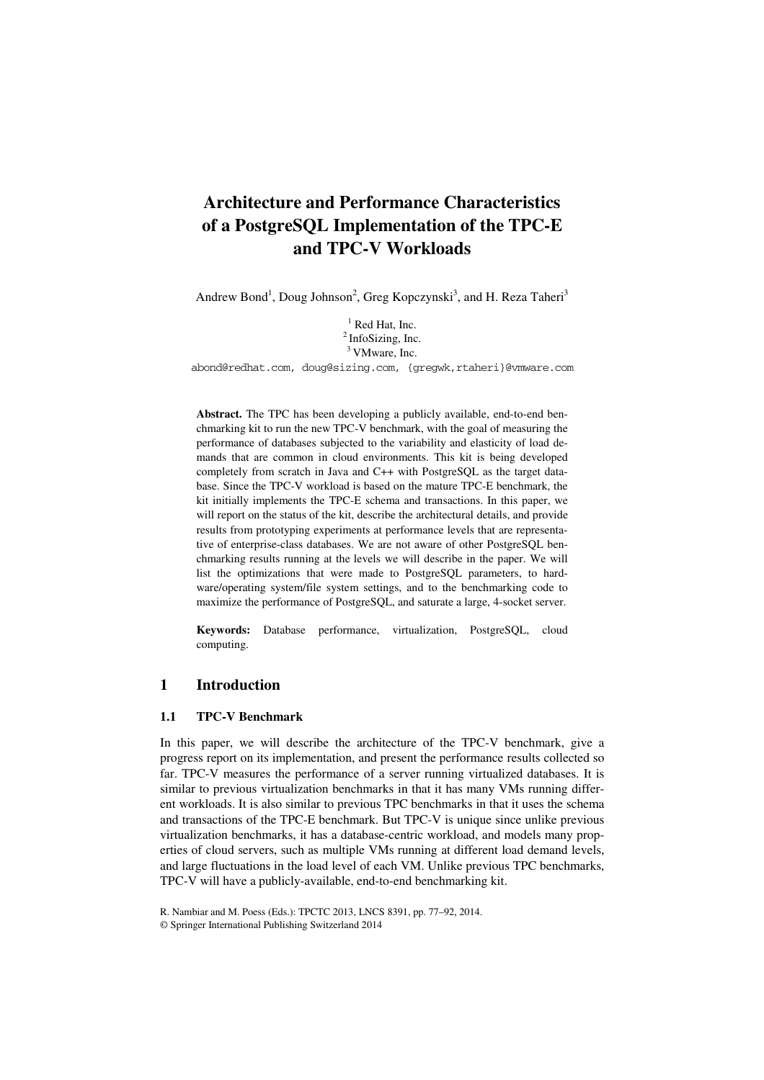# **Architecture and Performance Characteristics of a PostgreSQL Implementation of the TPC-E and TPC-V Workloads**

Andrew Bond<sup>1</sup>, Doug Johnson<sup>2</sup>, Greg Kopczynski<sup>3</sup>, and H. Reza Taheri<sup>3</sup>

<sup>1</sup> Red Hat, Inc. <sup>2</sup> InfoSizing, Inc. <sup>3</sup> VMware, Inc.

abond@redhat.com, doug@sizing.com, {gregwk,rtaheri}@vmware.com

**Abstract.** The TPC has been developing a publicly available, end-to-end benchmarking kit to run the new TPC-V benchmark, with the goal of measuring the performance of databases subjected to the variability and elasticity of load demands that are common in cloud environments. This kit is being developed completely from scratch in Java and C++ with PostgreSQL as the target database. Since the TPC-V workload is based on the mature TPC-E benchmark, the kit initially implements the TPC-E schema and transactions. In this paper, we will report on the status of the kit, describe the architectural details, and provide results from prototyping experiments at performance levels that are representative of enterprise-class databases. We are not aware of other PostgreSQL benchmarking results running at the levels we will describe in the paper. We will list the optimizations that were made to PostgreSQL parameters, to hardware/operating system/file system settings, and to the benchmarking code to maximize the performance of PostgreSQL, and saturate a large, 4-socket server.

**Keywords:** Database performance, virtualization, PostgreSQL, cloud computing.

# **1 Introduction**

### **1.1 TPC-V Benchmark**

In this paper, we will describe the architecture of the TPC-V benchmark, give a progress report on its implementation, and present the performance results collected so far. TPC-V measures the performance of a server running virtualized databases. It is similar to previous virtualization benchmarks in that it has many VMs running different workloads. It is also similar to previous TPC benchmarks in that it uses the schema and transactions of the TPC-E benchmark. But TPC-V is unique since unlike previous virtualization benchmarks, it has a database-centric workload, and models many properties of cloud servers, such as multiple VMs running at different load demand levels, and large fluctuations in the load level of each VM. Unlike previous TPC benchmarks, TPC-V will have a publicly-available, end-to-end benchmarking kit.

R. Nambiar and M. Poess (Eds.): TPCTC 2013, LNCS 8391, pp. 77–92, 2014.

<sup>©</sup> Springer International Publishing Switzerland 2014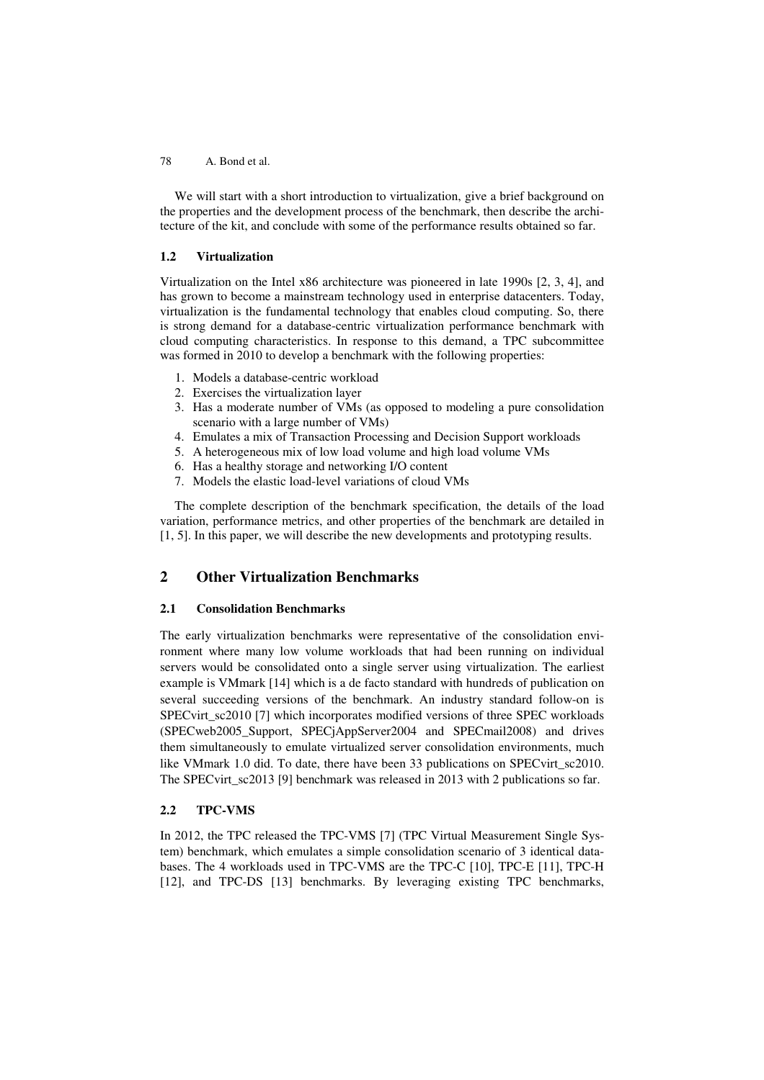We will start with a short introduction to virtualization, give a brief background on the properties and the development process of the benchmark, then describe the architecture of the kit, and conclude with some of the performance results obtained so far.

#### **1.2 Virtualization**

Virtualization on the Intel x86 architecture was pioneered in late 1990s [2, 3, 4], and has grown to become a mainstream technology used in enterprise datacenters. Today, virtualization is the fundamental technology that enables cloud computing. So, there is strong demand for a database-centric virtualization performance benchmark with cloud computing characteristics. In response to this demand, a TPC subcommittee was formed in 2010 to develop a benchmark with the following properties:

- 1. Models a database-centric workload
- 2. Exercises the virtualization layer
- 3. Has a moderate number of VMs (as opposed to modeling a pure consolidation scenario with a large number of VMs)
- 4. Emulates a mix of Transaction Processing and Decision Support workloads
- 5. A heterogeneous mix of low load volume and high load volume VMs
- 6. Has a healthy storage and networking I/O content
- 7. Models the elastic load-level variations of cloud VMs

The complete description of the benchmark specification, the details of the load variation, performance metrics, and other properties of the benchmark are detailed in [1, 5]. In this paper, we will describe the new developments and prototyping results.

# **2 Other Virtualization Benchmarks**

# **2.1 Consolidation Benchmarks**

The early virtualization benchmarks were representative of the consolidation environment where many low volume workloads that had been running on individual servers would be consolidated onto a single server using virtualization. The earliest example is VMmark [14] which is a de facto standard with hundreds of publication on several succeeding versions of the benchmark. An industry standard follow-on is SPEC virt sc2010 [7] which incorporates modified versions of three SPEC workloads (SPECweb2005\_Support, SPECjAppServer2004 and SPECmail2008) and drives them simultaneously to emulate virtualized server consolidation environments, much like VMmark 1.0 did. To date, there have been 33 publications on SPECvirt\_sc2010. The SPECvirt sc2013 [9] benchmark was released in 2013 with 2 publications so far.

# **2.2 TPC-VMS**

In 2012, the TPC released the TPC-VMS [7] (TPC Virtual Measurement Single System) benchmark, which emulates a simple consolidation scenario of 3 identical databases. The 4 workloads used in TPC-VMS are the TPC-C [10], TPC-E [11], TPC-H [12], and TPC-DS [13] benchmarks. By leveraging existing TPC benchmarks,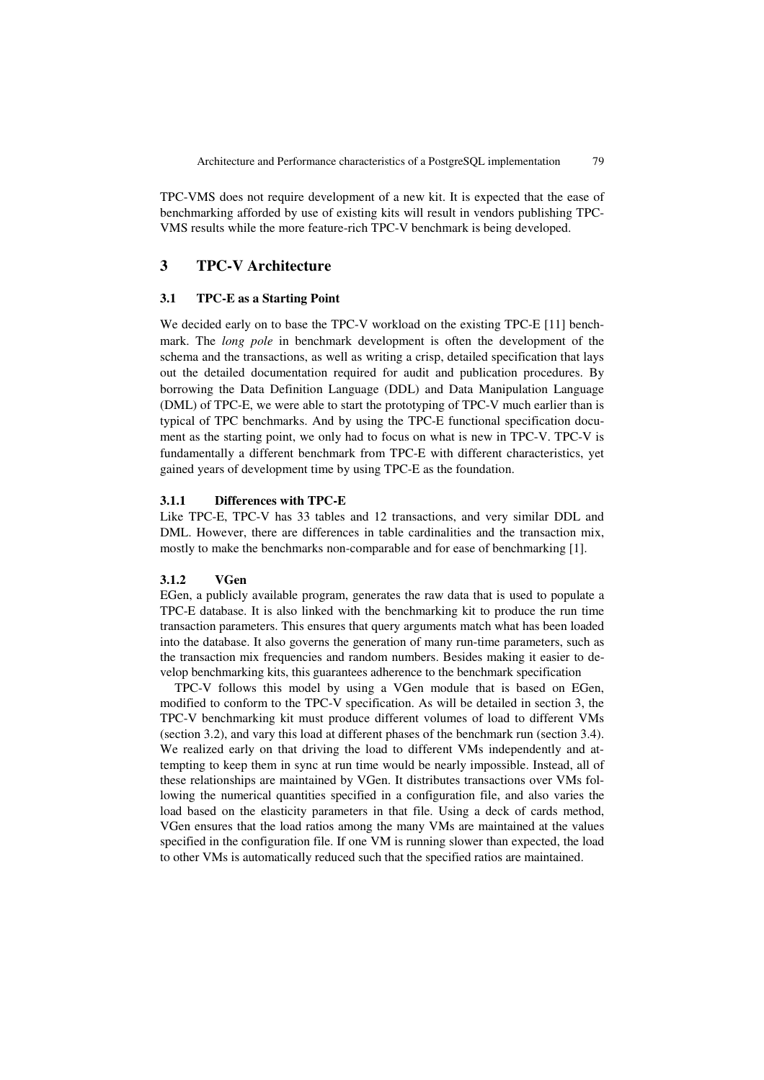TPC-VMS does not require development of a new kit. It is expected that the ease of benchmarking afforded by use of existing kits will result in vendors publishing TPC-VMS results while the more feature-rich TPC-V benchmark is being developed.

# **3 TPC-V Architecture**

#### **3.1 TPC-E as a Starting Point**

We decided early on to base the TPC-V workload on the existing TPC-E [11] benchmark. The *long pole* in benchmark development is often the development of the schema and the transactions, as well as writing a crisp, detailed specification that lays out the detailed documentation required for audit and publication procedures. By borrowing the Data Definition Language (DDL) and Data Manipulation Language (DML) of TPC-E, we were able to start the prototyping of TPC-V much earlier than is typical of TPC benchmarks. And by using the TPC-E functional specification document as the starting point, we only had to focus on what is new in TPC-V. TPC-V is fundamentally a different benchmark from TPC-E with different characteristics, yet gained years of development time by using TPC-E as the foundation.

# **3.1.1 Differences with TPC-E**

Like TPC-E, TPC-V has 33 tables and 12 transactions, and very similar DDL and DML. However, there are differences in table cardinalities and the transaction mix, mostly to make the benchmarks non-comparable and for ease of benchmarking [1].

# **3.1.2 VGen**

EGen, a publicly available program, generates the raw data that is used to populate a TPC-E database. It is also linked with the benchmarking kit to produce the run time transaction parameters. This ensures that query arguments match what has been loaded into the database. It also governs the generation of many run-time parameters, such as the transaction mix frequencies and random numbers. Besides making it easier to develop benchmarking kits, this guarantees adherence to the benchmark specification

TPC-V follows this model by using a VGen module that is based on EGen, modified to conform to the TPC-V specification. As will be detailed in section 3, the TPC-V benchmarking kit must produce different volumes of load to different VMs (section 3.2), and vary this load at different phases of the benchmark run (section 3.4). We realized early on that driving the load to different VMs independently and attempting to keep them in sync at run time would be nearly impossible. Instead, all of these relationships are maintained by VGen. It distributes transactions over VMs following the numerical quantities specified in a configuration file, and also varies the load based on the elasticity parameters in that file. Using a deck of cards method, VGen ensures that the load ratios among the many VMs are maintained at the values specified in the configuration file. If one VM is running slower than expected, the load to other VMs is automatically reduced such that the specified ratios are maintained.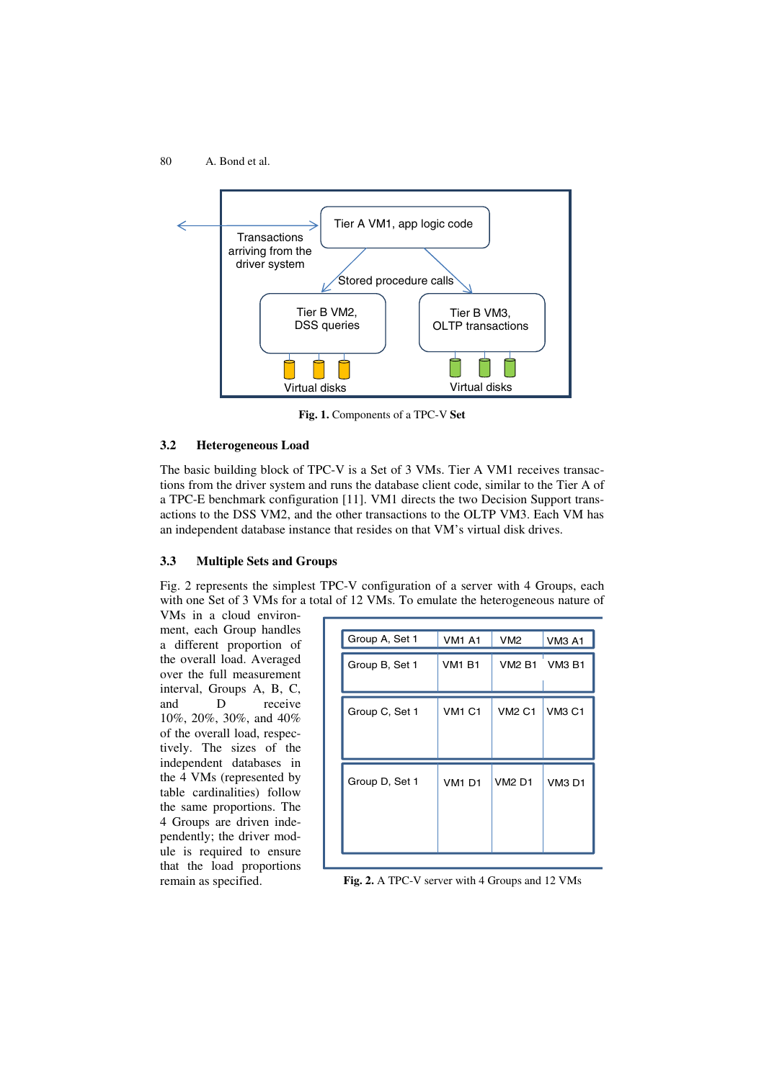

**Fig. 1.** Components of a TPC-V **Set**

# **3.2 Heterogeneous Load**

The basic building block of TPC-V is a Set of 3 VMs. Tier A VM1 receives transactions from the driver system and runs the database client code, similar to the Tier A of a TPC-E benchmark configuration [11]. VM1 directs the two Decision Support transactions to the DSS VM2, and the other transactions to the OLTP VM3. Each VM has an independent database instance that resides on that VM's virtual disk drives.

#### **3.3 Multiple Sets and Groups**

Fig. 2 represents the simplest TPC-V configuration of a server with 4 Groups, each with one Set of 3 VMs for a total of 12 VMs. To emulate the heterogeneous nature of

VMs in a cloud environment, each Group handles a different proportion of the overall load. Averaged over the full measurement interval, Groups A, B, C, and D receive 10%, 20%, 30%, and 40% of the overall load, respectively. The sizes of the independent databases in the 4 VMs (represented by table cardinalities) follow the same proportions. The 4 Groups are driven independently; the driver module is required to ensure that the load proportions remain as specified.

| Group A, Set 1 | <b>VM1 A1</b> | VM <sub>2</sub>                    | <b>VM3 A1</b>                  |
|----------------|---------------|------------------------------------|--------------------------------|
| Group B, Set 1 | <b>VM1 B1</b> | <b>VM2 B1</b>                      | <b>VM3 B1</b>                  |
| Group C, Set 1 | <b>VM1 C1</b> | <b>VM2 C1</b>                      | <b>VM3 C1</b>                  |
| Group D, Set 1 | <b>VM1 D1</b> | <b>VM<sub>2</sub>D<sub>1</sub></b> | VM <sub>3</sub> D <sub>1</sub> |

**Fig. 2.** A TPC-V server with 4 Groups and 12 VMs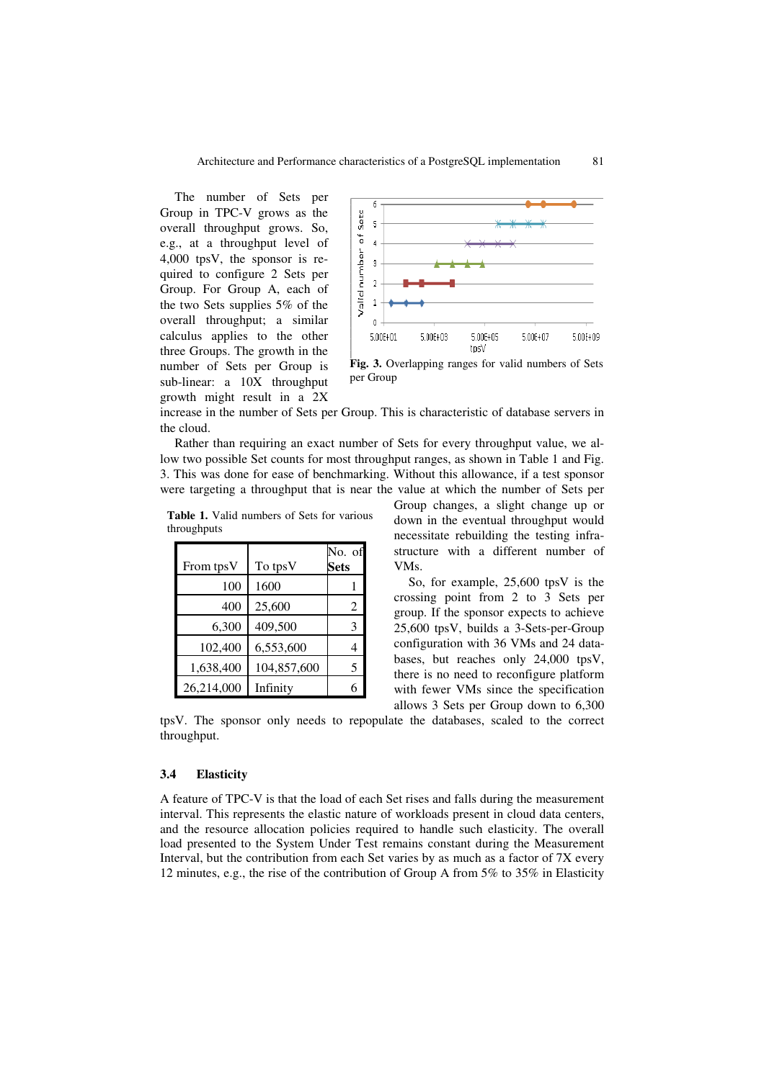The number of Sets per Group in TPC-V grows as the overall throughput grows. So, e.g., at a throughput level of 4,000 tpsV, the sponsor is required to configure 2 Sets per Group. For Group A, each of the two Sets supplies 5% of the overall throughput; a similar calculus applies to the other three Groups. The growth in the number of Sets per Group is sub-linear: a 10X throughput growth might result in a 2X



**Fig. 3.** Overlapping ranges for valid numbers of Sets per Group

increase in the number of Sets per Group. This is characteristic of database servers in the cloud.

Rather than requiring an exact number of Sets for every throughput value, we allow two possible Set counts for most throughput ranges, as shown in Table 1 and Fig. 3. This was done for ease of benchmarking. Without this allowance, if a test sponsor were targeting a throughput that is near the value at which the number of Sets per

| From tpsV  | To tpsV     | No. of<br><b>Sets</b> |
|------------|-------------|-----------------------|
| 100        | 1600        |                       |
| 400        | 25,600      | 2                     |
| 6,300      | 409,500     | 3                     |
| 102,400    | 6,553,600   | 4                     |
| 1,638,400  | 104,857,600 | 5                     |
| 26,214,000 | Infinity    | 6                     |

**Table 1.** Valid numbers of Sets for various throughputs

Group changes, a slight change up or down in the eventual throughput would necessitate rebuilding the testing infrastructure with a different number of VMs.

So, for example, 25,600 tpsV is the crossing point from 2 to 3 Sets per group. If the sponsor expects to achieve 25,600 tpsV, builds a 3-Sets-per-Group configuration with 36 VMs and 24 databases, but reaches only 24,000 tpsV, there is no need to reconfigure platform with fewer VMs since the specification allows 3 Sets per Group down to 6,300

tpsV. The sponsor only needs to repopulate the databases, scaled to the correct throughput.

#### **3.4 Elasticity**

A feature of TPC-V is that the load of each Set rises and falls during the measurement interval. This represents the elastic nature of workloads present in cloud data centers, and the resource allocation policies required to handle such elasticity. The overall load presented to the System Under Test remains constant during the Measurement Interval, but the contribution from each Set varies by as much as a factor of 7X every 12 minutes, e.g., the rise of the contribution of Group A from 5% to 35% in Elasticity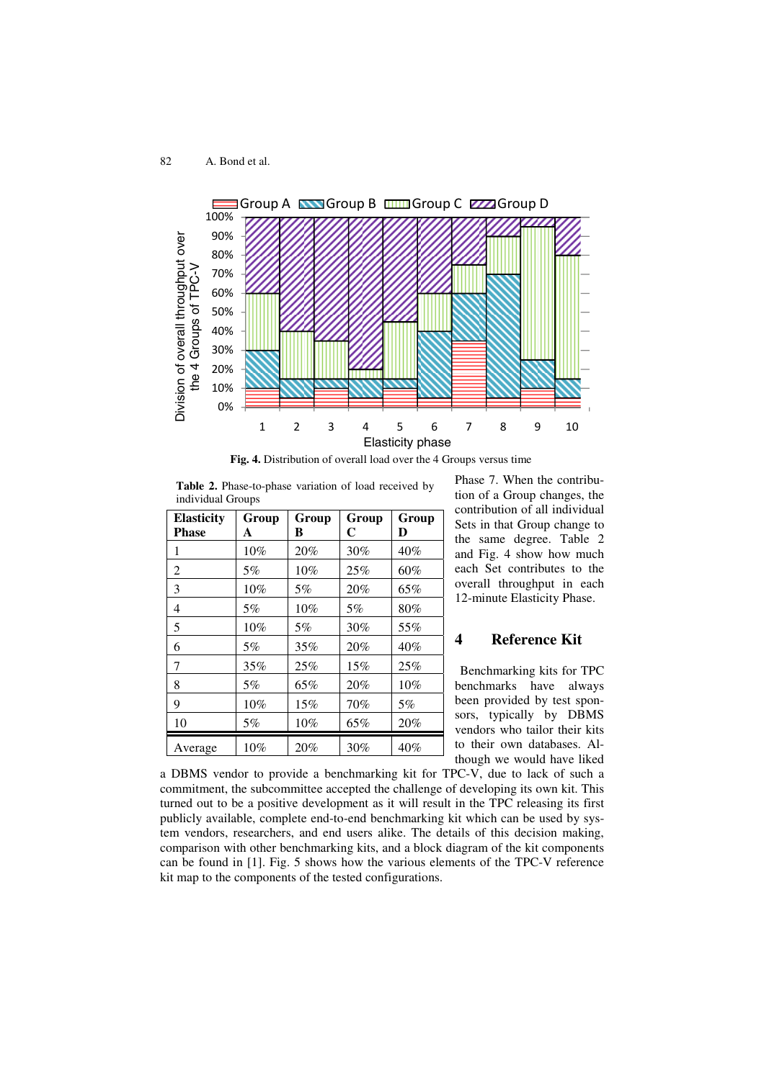

**Fig. 4.** Distribution of overall load over the 4 Groups versus time

**Table 2.** Phase-to-phase variation of load received by individual Groups

| <b>Elasticity</b><br><b>Phase</b> | Group<br>A | Group<br>В | Group<br>C | Group<br>D |
|-----------------------------------|------------|------------|------------|------------|
| 1                                 | 10%        | 20%        | 30%        | 40%        |
| 2                                 | $5\%$      | 10%        | 25%        | 60%        |
| 3                                 | 10%        | 5%         | 20%        | 65%        |
| 4                                 | $5\%$      | 10%        | $5\%$      | 80%        |
| 5                                 | 10%        | 5%         | 30%        | 55%        |
| 6                                 | 5%         | 35%        | 20%        | 40%        |
| 7                                 | 35%        | 25%        | 15%        | 25%        |
| 8                                 | 5%         | 65%        | 20%        | 10%        |
| 9                                 | 10%        | 15%        | 70%        | 5%         |
| 10                                | 5%         | 10%        | 65%        | 20%        |
| Average                           | 10%        | 20%        | 30%        | 40%        |

Phase 7. When the contribution of a Group changes, the contribution of all individual Sets in that Group change to the same degree. Table 2 and Fig. 4 show how much each Set contributes to the overall throughput in each 12-minute Elasticity Phase.

# **4 Reference Kit**

 Benchmarking kits for TPC benchmarks have always been provided by test sponsors, typically by DBMS vendors who tailor their kits to their own databases. Although we would have liked

a DBMS vendor to provide a benchmarking kit for TPC-V, due to lack of such a commitment, the subcommittee accepted the challenge of developing its own kit. This turned out to be a positive development as it will result in the TPC releasing its first publicly available, complete end-to-end benchmarking kit which can be used by system vendors, researchers, and end users alike. The details of this decision making, comparison with other benchmarking kits, and a block diagram of the kit components can be found in [1]. Fig. 5 shows how the various elements of the TPC-V reference kit map to the components of the tested configurations.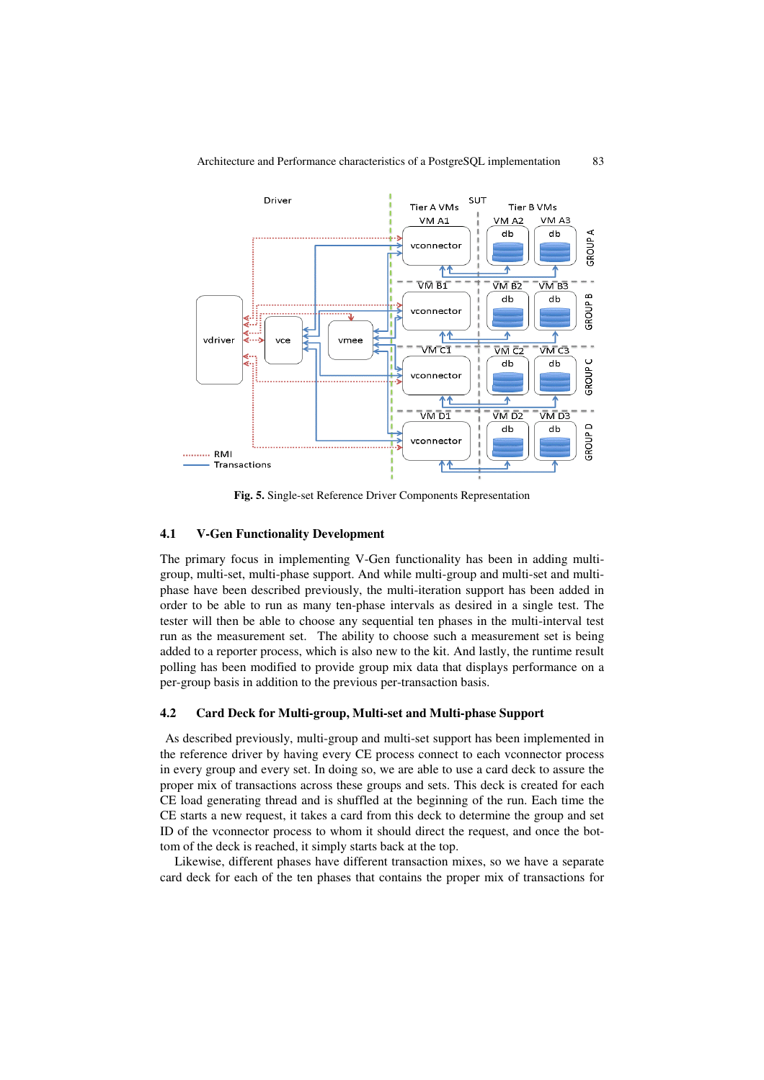

**Fig. 5.** Single-set Reference Driver Components Representation

#### **4.1 V-Gen Functionality Development**

The primary focus in implementing V-Gen functionality has been in adding multigroup, multi-set, multi-phase support. And while multi-group and multi-set and multiphase have been described previously, the multi-iteration support has been added in order to be able to run as many ten-phase intervals as desired in a single test. The tester will then be able to choose any sequential ten phases in the multi-interval test run as the measurement set. The ability to choose such a measurement set is being added to a reporter process, which is also new to the kit. And lastly, the runtime result polling has been modified to provide group mix data that displays performance on a per-group basis in addition to the previous per-transaction basis.

### **4.2 Card Deck for Multi-group, Multi-set and Multi-phase Support**

 As described previously, multi-group and multi-set support has been implemented in the reference driver by having every CE process connect to each vconnector process in every group and every set. In doing so, we are able to use a card deck to assure the proper mix of transactions across these groups and sets. This deck is created for each CE load generating thread and is shuffled at the beginning of the run. Each time the CE starts a new request, it takes a card from this deck to determine the group and set ID of the vconnector process to whom it should direct the request, and once the bottom of the deck is reached, it simply starts back at the top.

Likewise, different phases have different transaction mixes, so we have a separate card deck for each of the ten phases that contains the proper mix of transactions for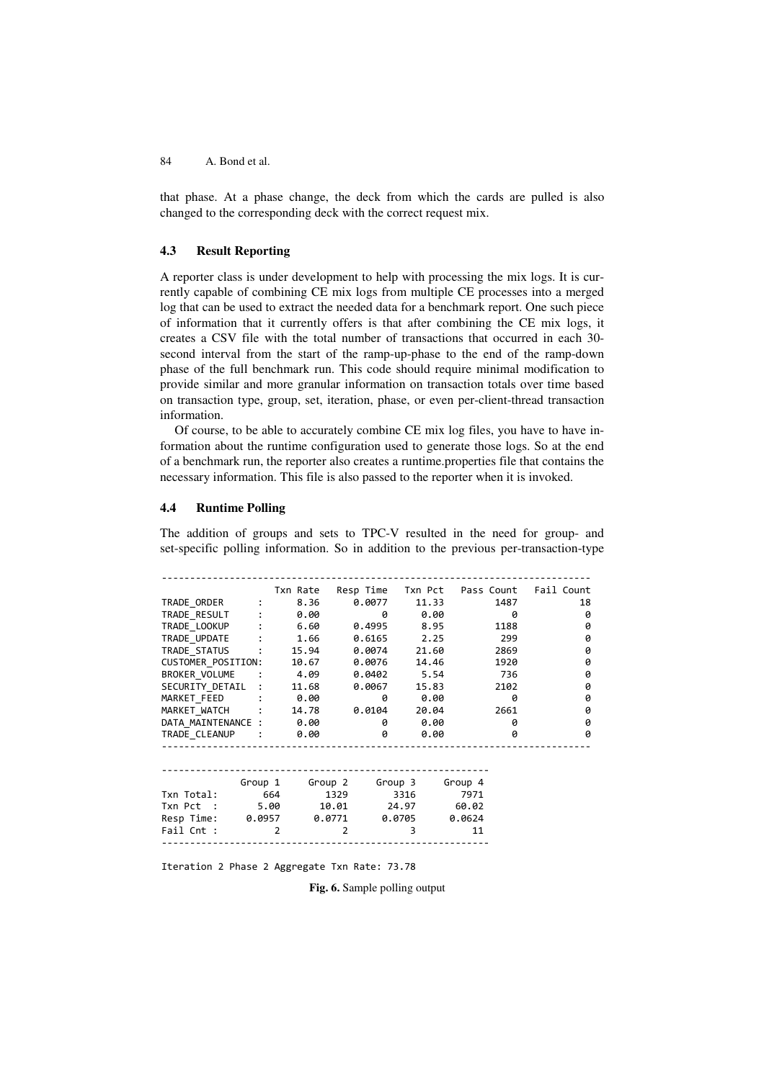that phase. At a phase change, the deck from which the cards are pulled is also changed to the corresponding deck with the correct request mix.

#### **4.3 Result Reporting**

A reporter class is under development to help with processing the mix logs. It is currently capable of combining CE mix logs from multiple CE processes into a merged log that can be used to extract the needed data for a benchmark report. One such piece of information that it currently offers is that after combining the CE mix logs, it creates a CSV file with the total number of transactions that occurred in each 30 second interval from the start of the ramp-up-phase to the end of the ramp-down phase of the full benchmark run. This code should require minimal modification to provide similar and more granular information on transaction totals over time based on transaction type, group, set, iteration, phase, or even per-client-thread transaction information.

Of course, to be able to accurately combine CE mix log files, you have to have information about the runtime configuration used to generate those logs. So at the end of a benchmark run, the reporter also creates a runtime.properties file that contains the necessary information. This file is also passed to the reporter when it is invoked.

#### **4.4 Runtime Polling**

The addition of groups and sets to TPC-V resulted in the need for group- and set-specific polling information. So in addition to the previous per-transaction-type

|                                        |          | Txn Rate                        |                |               |               | Resp Time Txn Pct Pass Count Fail Count |
|----------------------------------------|----------|---------------------------------|----------------|---------------|---------------|-----------------------------------------|
| TRADE ORDER : 8.36                     |          |                                 | 0.0077         |               | 11.33<br>1487 | 18                                      |
| TRADE RESULT : 0.00 0.00 0.00          |          |                                 |                |               | 0             | 0                                       |
|                                        |          |                                 |                |               | 1188          | 0                                       |
|                                        |          |                                 |                |               |               | 0                                       |
|                                        |          |                                 |                |               | 21.60<br>2869 | 0                                       |
| CUSTOMER POSITION: 10.67 0.0076        |          |                                 |                |               | 14.46<br>1920 | 0                                       |
|                                        |          |                                 |                |               |               | 0                                       |
| SECURITY DETAIL : 11.68                |          |                                 | 0.0067         |               | 2102<br>15.83 | 0                                       |
| MARKET_FEED : 0.00                     |          |                                 |                |               | 0 0.00<br>0   | 0                                       |
| MARKET WATCH : 14.78 0.0104            |          |                                 |                |               | 20.04 2661    | 0                                       |
| DATA MAINTENANCE : 0.00 0.00 0.00      |          |                                 |                |               | 0             | 0                                       |
| TRADE CLEANUP : 0.00 0 0.00            |          |                                 |                |               | 0             | 0                                       |
|                                        |          | ____________________________    |                |               |               |                                         |
|                                        |          | Group 1 Group 2 Group 3 Group 4 |                |               |               |                                         |
| Txn Total:                             | 664 666  |                                 | 1329 3316 7971 |               |               |                                         |
| Txn Pct : 5.00   10.01   24.97   60.02 |          |                                 |                |               |               |                                         |
| Resp Time: 0.0957 0.0771               |          |                                 |                | 0.0705 0.0624 |               |                                         |
| Fail Cnt :                             | $\sim$ 2 | 2                               |                | 3             | 11            |                                         |

Iteration 2 Phase 2 Aggregate Txn Rate: 73.78

----------------------------------------------------------

**Fig. 6.** Sample polling output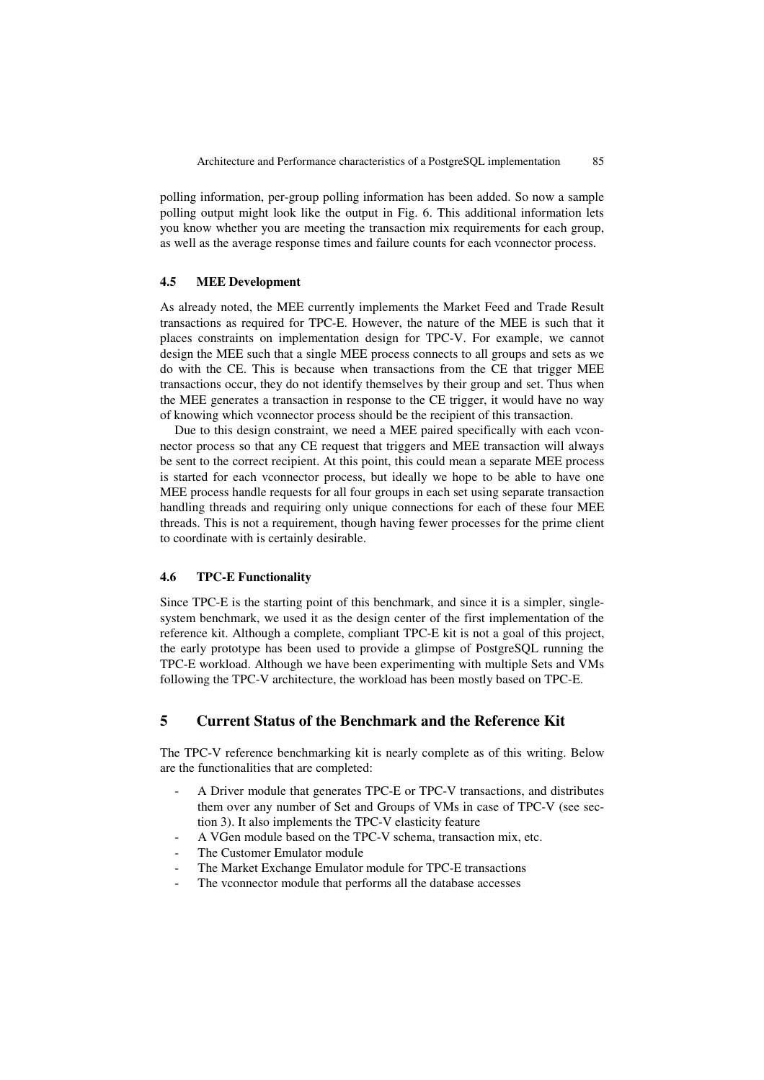polling information, per-group polling information has been added. So now a sample polling output might look like the output in Fig. 6. This additional information lets you know whether you are meeting the transaction mix requirements for each group, as well as the average response times and failure counts for each vconnector process.

# **4.5 MEE Development**

As already noted, the MEE currently implements the Market Feed and Trade Result transactions as required for TPC-E. However, the nature of the MEE is such that it places constraints on implementation design for TPC-V. For example, we cannot design the MEE such that a single MEE process connects to all groups and sets as we do with the CE. This is because when transactions from the CE that trigger MEE transactions occur, they do not identify themselves by their group and set. Thus when the MEE generates a transaction in response to the CE trigger, it would have no way of knowing which vconnector process should be the recipient of this transaction.

Due to this design constraint, we need a MEE paired specifically with each vconnector process so that any CE request that triggers and MEE transaction will always be sent to the correct recipient. At this point, this could mean a separate MEE process is started for each vconnector process, but ideally we hope to be able to have one MEE process handle requests for all four groups in each set using separate transaction handling threads and requiring only unique connections for each of these four MEE threads. This is not a requirement, though having fewer processes for the prime client to coordinate with is certainly desirable.

#### **4.6 TPC-E Functionality**

Since TPC-E is the starting point of this benchmark, and since it is a simpler, singlesystem benchmark, we used it as the design center of the first implementation of the reference kit. Although a complete, compliant TPC-E kit is not a goal of this project, the early prototype has been used to provide a glimpse of PostgreSQL running the TPC-E workload. Although we have been experimenting with multiple Sets and VMs following the TPC-V architecture, the workload has been mostly based on TPC-E.

# **5 Current Status of the Benchmark and the Reference Kit**

The TPC-V reference benchmarking kit is nearly complete as of this writing. Below are the functionalities that are completed:

- A Driver module that generates TPC-E or TPC-V transactions, and distributes them over any number of Set and Groups of VMs in case of TPC-V (see section 3). It also implements the TPC-V elasticity feature
- A VGen module based on the TPC-V schema, transaction mix, etc.
- The Customer Emulator module
- The Market Exchange Emulator module for TPC-E transactions
- The vconnector module that performs all the database accesses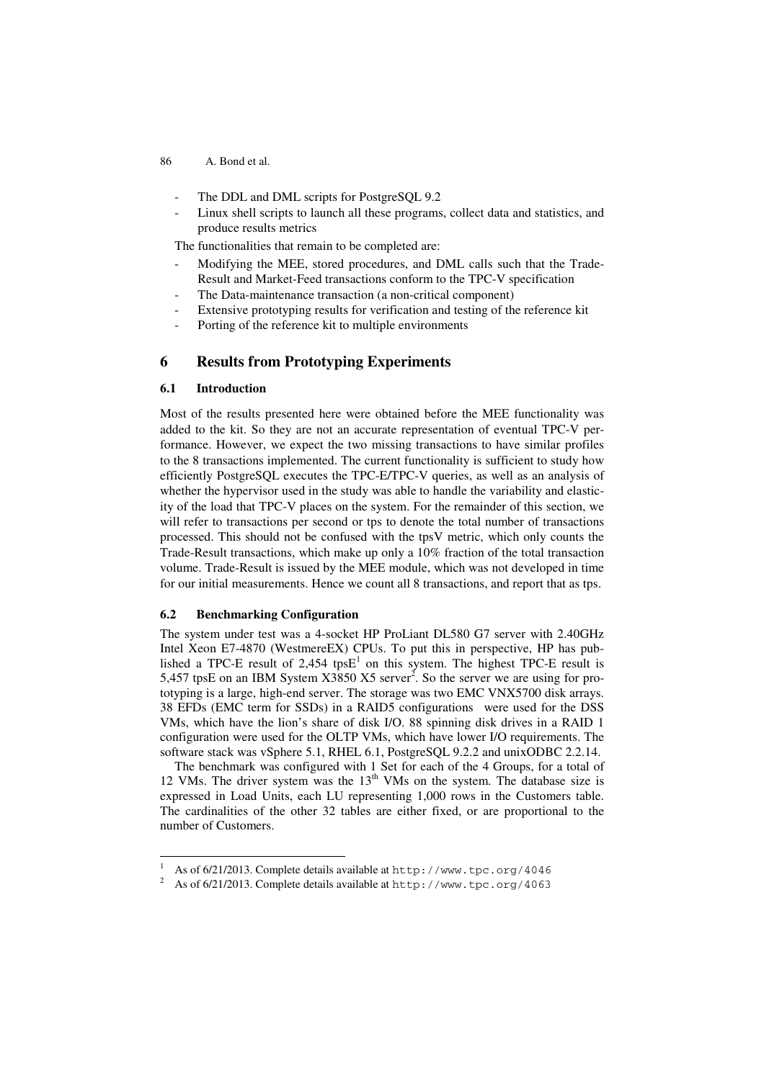- The DDL and DML scripts for PostgreSQL 9.2
- Linux shell scripts to launch all these programs, collect data and statistics, and produce results metrics

The functionalities that remain to be completed are:

- Modifying the MEE, stored procedures, and DML calls such that the Trade-Result and Market-Feed transactions conform to the TPC-V specification
- The Data-maintenance transaction (a non-critical component)
- Extensive prototyping results for verification and testing of the reference kit
- Porting of the reference kit to multiple environments

# **6 Results from Prototyping Experiments**

### **6.1 Introduction**

-

Most of the results presented here were obtained before the MEE functionality was added to the kit. So they are not an accurate representation of eventual TPC-V performance. However, we expect the two missing transactions to have similar profiles to the 8 transactions implemented. The current functionality is sufficient to study how efficiently PostgreSQL executes the TPC-E/TPC-V queries, as well as an analysis of whether the hypervisor used in the study was able to handle the variability and elasticity of the load that TPC-V places on the system. For the remainder of this section, we will refer to transactions per second or tps to denote the total number of transactions processed. This should not be confused with the tpsV metric, which only counts the Trade-Result transactions, which make up only a 10% fraction of the total transaction volume. Trade-Result is issued by the MEE module, which was not developed in time for our initial measurements. Hence we count all 8 transactions, and report that as tps.

### **6.2 Benchmarking Configuration**

The system under test was a 4-socket HP ProLiant DL580 G7 server with 2.40GHz Intel Xeon E7-4870 (WestmereEX) CPUs. To put this in perspective, HP has published a TPC-E result of 2,454 tps $E^1$  on this system. The highest TPC-E result is 5,457 tpsE on an IBM System X3850 X5 server<sup>2</sup>. So the server we are using for prototyping is a large, high-end server. The storage was two EMC VNX5700 disk arrays. 38 EFDs (EMC term for SSDs) in a RAID5 configurations were used for the DSS VMs, which have the lion's share of disk I/O. 88 spinning disk drives in a RAID 1 configuration were used for the OLTP VMs, which have lower I/O requirements. The software stack was vSphere 5.1, RHEL 6.1, PostgreSQL 9.2.2 and unixODBC 2.2.14.

The benchmark was configured with 1 Set for each of the 4 Groups, for a total of 12 VMs. The driver system was the  $13<sup>th</sup>$  VMs on the system. The database size is expressed in Load Units, each LU representing 1,000 rows in the Customers table. The cardinalities of the other 32 tables are either fixed, or are proportional to the number of Customers.

<sup>1</sup> As of 6/21/2013. Complete details available at http://www.tpc.org/4046

<sup>2</sup> As of 6/21/2013. Complete details available at http://www.tpc.org/4063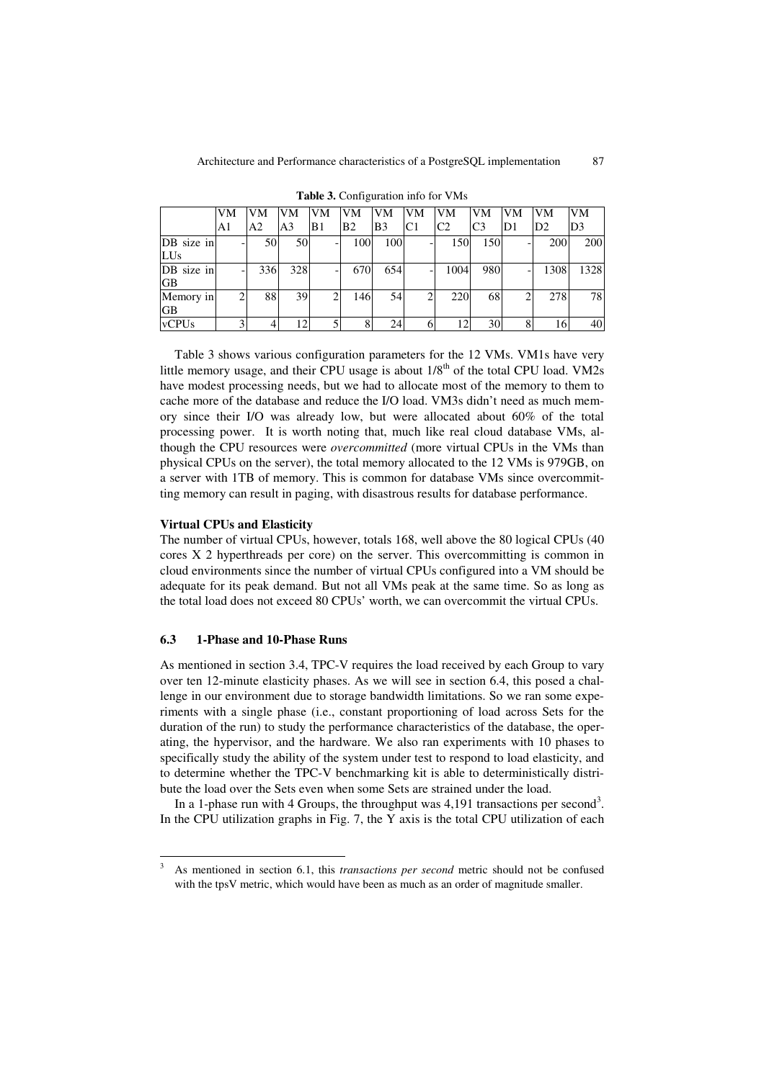|            | VM<br>A1 | VM<br>A2 | VM<br>A <sub>3</sub> | VM<br>B1 | VM<br>B <sub>2</sub> | VM<br>B <sub>3</sub> | VM<br>C <sub>1</sub> | VM<br>C2 | VM<br>C <sub>3</sub> | VM<br>D1 | VM<br>D2 | <b>VM</b><br>D <sub>3</sub> |
|------------|----------|----------|----------------------|----------|----------------------|----------------------|----------------------|----------|----------------------|----------|----------|-----------------------------|
|            |          |          |                      |          |                      |                      |                      |          |                      |          |          |                             |
| DB size in |          | 50       | 50                   |          | 100                  | 100                  |                      | 150      | 150                  |          | 200      | 200                         |
| LUs        |          |          |                      |          |                      |                      |                      |          |                      |          |          |                             |
| DB size in |          | 336      | 328                  |          | 670                  | 654                  |                      | 1004     | 980                  |          | 1308     | 1328                        |
| GB         |          |          |                      |          |                      |                      |                      |          |                      |          |          |                             |
| Memory in  |          | 88       | 39                   |          | 146                  | 54                   |                      | 220      | 68                   |          | 278      | 78                          |
| GВ         |          |          |                      |          |                      |                      |                      |          |                      |          |          |                             |
| vCPUs      |          |          | 12                   |          |                      | 24                   |                      | 12       | 30                   | 8        | 16       | 40                          |

**Table 3.** Configuration info for VMs

Table 3 shows various configuration parameters for the 12 VMs. VM1s have very little memory usage, and their CPU usage is about  $1/8<sup>th</sup>$  of the total CPU load. VM2s have modest processing needs, but we had to allocate most of the memory to them to cache more of the database and reduce the I/O load. VM3s didn't need as much memory since their I/O was already low, but were allocated about 60% of the total processing power. It is worth noting that, much like real cloud database VMs, although the CPU resources were *overcommitted* (more virtual CPUs in the VMs than physical CPUs on the server), the total memory allocated to the 12 VMs is 979GB, on a server with 1TB of memory. This is common for database VMs since overcommitting memory can result in paging, with disastrous results for database performance.

#### **Virtual CPUs and Elasticity**

The number of virtual CPUs, however, totals 168, well above the 80 logical CPUs (40 cores X 2 hyperthreads per core) on the server. This overcommitting is common in cloud environments since the number of virtual CPUs configured into a VM should be adequate for its peak demand. But not all VMs peak at the same time. So as long as the total load does not exceed 80 CPUs' worth, we can overcommit the virtual CPUs.

#### **6.3 1-Phase and 10-Phase Runs**

As mentioned in section 3.4, TPC-V requires the load received by each Group to vary over ten 12-minute elasticity phases. As we will see in section 6.4, this posed a challenge in our environment due to storage bandwidth limitations. So we ran some experiments with a single phase (i.e., constant proportioning of load across Sets for the duration of the run) to study the performance characteristics of the database, the operating, the hypervisor, and the hardware. We also ran experiments with 10 phases to specifically study the ability of the system under test to respond to load elasticity, and to determine whether the TPC-V benchmarking kit is able to deterministically distribute the load over the Sets even when some Sets are strained under the load.

In a 1-phase run with 4 Groups, the throughput was  $4,191$  transactions per second<sup>3</sup>. In the CPU utilization graphs in Fig. 7, the Y axis is the total CPU utilization of each

 3 As mentioned in section 6.1, this *transactions per second* metric should not be confused with the tpsV metric, which would have been as much as an order of magnitude smaller.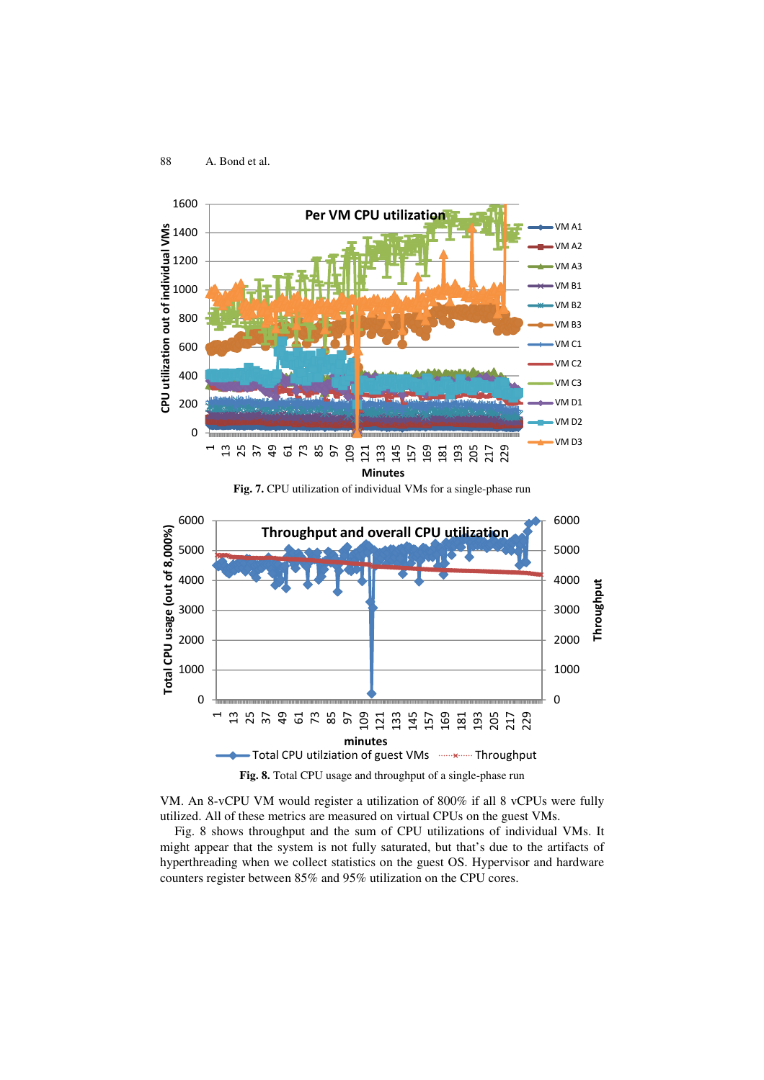





VM. An 8-vCPU VM would register a utilization of 800% if all 8 vCPUs were fully utilized. All of these metrics are measured on virtual CPUs on the guest VMs.

Fig. 8 shows throughput and the sum of CPU utilizations of individual VMs. It might appear that the system is not fully saturated, but that's due to the artifacts of hyperthreading when we collect statistics on the guest OS. Hypervisor and hardware counters register between 85% and 95% utilization on the CPU cores.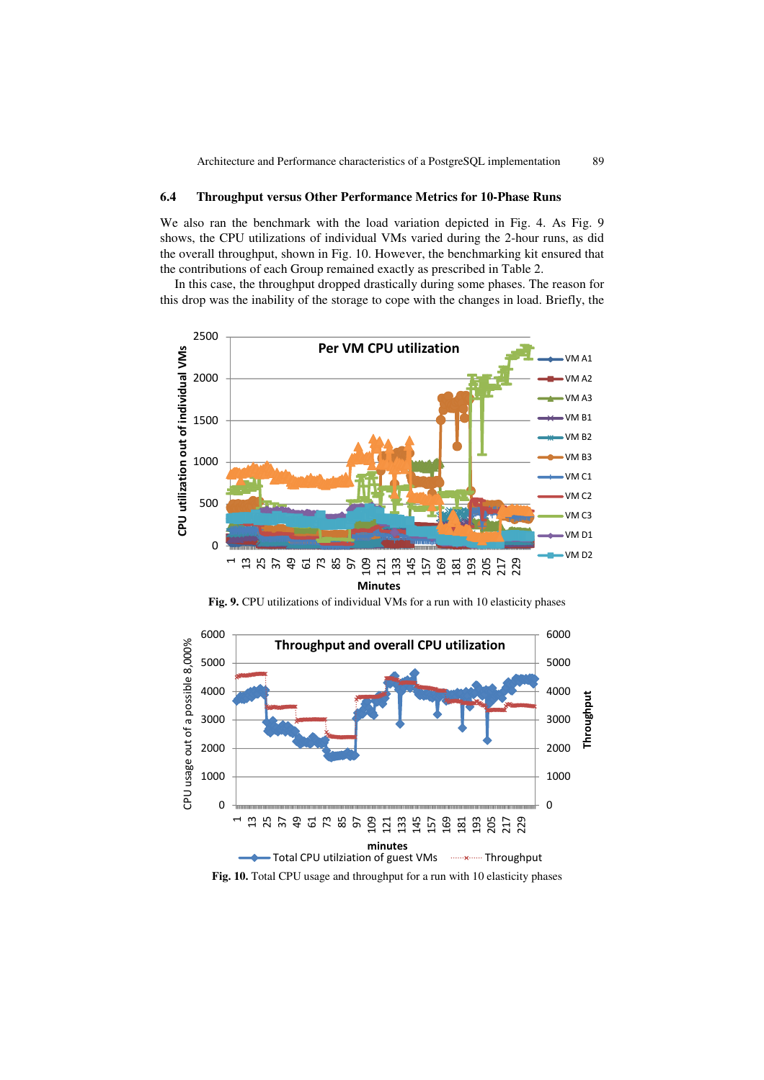### **6.4 Throughput versus Other Performance Metrics for 10-Phase Runs**

We also ran the benchmark with the load variation depicted in Fig. 4. As Fig. 9 shows, the CPU utilizations of individual VMs varied during the 2-hour runs, as did the overall throughput, shown in Fig. 10. However, the benchmarking kit ensured that the contributions of each Group remained exactly as prescribed in Table 2.

In this case, the throughput dropped drastically during some phases. The reason for this drop was the inability of the storage to cope with the changes in load. Briefly, the





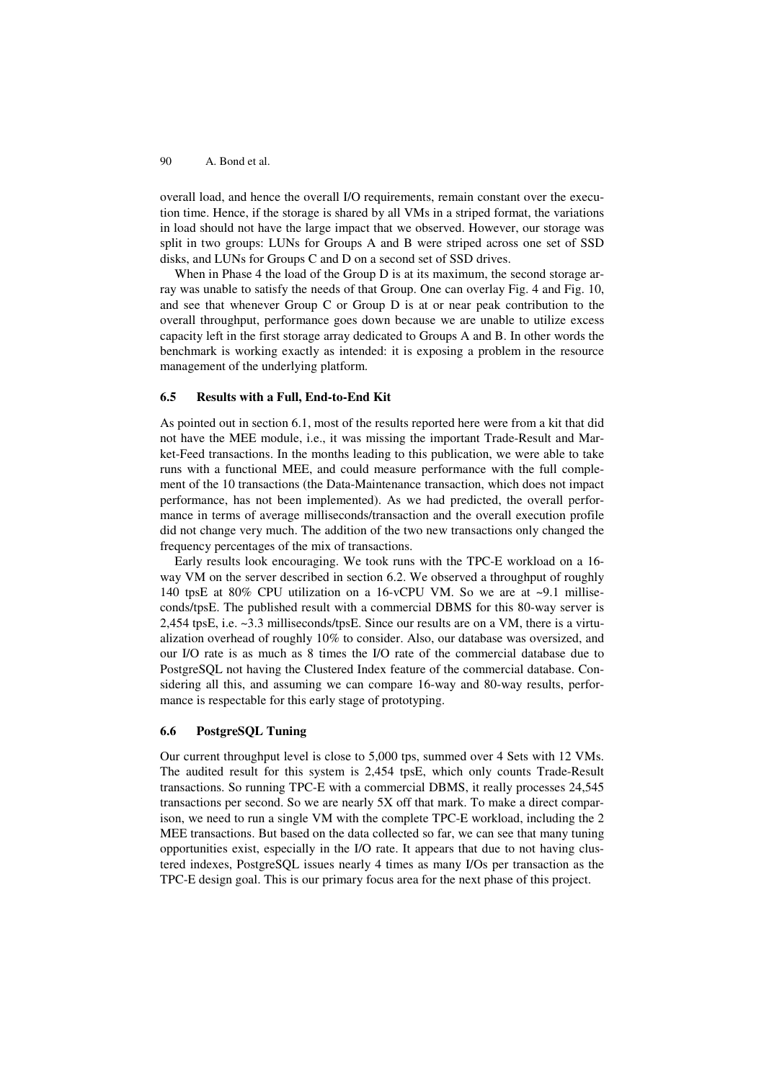overall load, and hence the overall I/O requirements, remain constant over the execution time. Hence, if the storage is shared by all VMs in a striped format, the variations in load should not have the large impact that we observed. However, our storage was split in two groups: LUNs for Groups A and B were striped across one set of SSD disks, and LUNs for Groups C and D on a second set of SSD drives.

When in Phase 4 the load of the Group D is at its maximum, the second storage array was unable to satisfy the needs of that Group. One can overlay Fig. 4 and Fig. 10, and see that whenever Group C or Group D is at or near peak contribution to the overall throughput, performance goes down because we are unable to utilize excess capacity left in the first storage array dedicated to Groups A and B. In other words the benchmark is working exactly as intended: it is exposing a problem in the resource management of the underlying platform.

#### **6.5 Results with a Full, End-to-End Kit**

As pointed out in section 6.1, most of the results reported here were from a kit that did not have the MEE module, i.e., it was missing the important Trade-Result and Market-Feed transactions. In the months leading to this publication, we were able to take runs with a functional MEE, and could measure performance with the full complement of the 10 transactions (the Data-Maintenance transaction, which does not impact performance, has not been implemented). As we had predicted, the overall performance in terms of average milliseconds/transaction and the overall execution profile did not change very much. The addition of the two new transactions only changed the frequency percentages of the mix of transactions.

Early results look encouraging. We took runs with the TPC-E workload on a 16 way VM on the server described in section 6.2. We observed a throughput of roughly 140 tpsE at 80% CPU utilization on a 16-vCPU VM. So we are at ~9.1 milliseconds/tpsE. The published result with a commercial DBMS for this 80-way server is 2,454 tpsE, i.e. ~3.3 milliseconds/tpsE. Since our results are on a VM, there is a virtualization overhead of roughly 10% to consider. Also, our database was oversized, and our I/O rate is as much as 8 times the I/O rate of the commercial database due to PostgreSQL not having the Clustered Index feature of the commercial database. Considering all this, and assuming we can compare 16-way and 80-way results, performance is respectable for this early stage of prototyping.

#### **6.6 PostgreSQL Tuning**

Our current throughput level is close to 5,000 tps, summed over 4 Sets with 12 VMs. The audited result for this system is 2,454 tpsE, which only counts Trade-Result transactions. So running TPC-E with a commercial DBMS, it really processes 24,545 transactions per second. So we are nearly 5X off that mark. To make a direct comparison, we need to run a single VM with the complete TPC-E workload, including the 2 MEE transactions. But based on the data collected so far, we can see that many tuning opportunities exist, especially in the I/O rate. It appears that due to not having clustered indexes, PostgreSQL issues nearly 4 times as many I/Os per transaction as the TPC-E design goal. This is our primary focus area for the next phase of this project.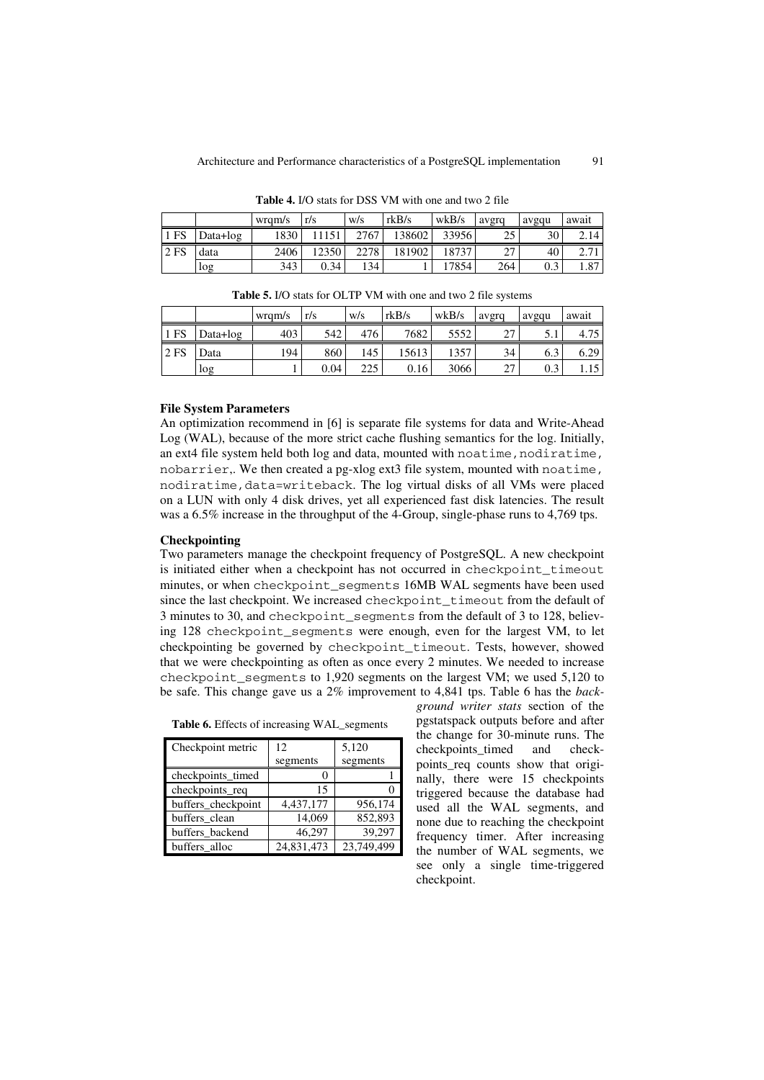|      |          | wram/s | r/s   | W/S  | rkB/s  | wkB/s | avgrq       | avgqu | await |
|------|----------|--------|-------|------|--------|-------|-------------|-------|-------|
| 1 FS | Data+log | 1830   | 11151 | 2767 | 138602 | 33956 | つく<br>رے    | 30    | 2.14  |
| 2 FS | data     | 2406   | 12350 | 2278 | 181902 | 18737 | $\sim$<br>" | 40    | 4.II  |
|      | log      | 343    | 0.34  | 134  |        | 17854 | 264         | 0.3   | 1.87  |

**Table 4.** I/O stats for DSS VM with one and two 2 file

|      |          | wram/s | r/s  | W/S | rkB/s | wkB/s | avgrq       | avgqu | await |
|------|----------|--------|------|-----|-------|-------|-------------|-------|-------|
| 1 FS | Data+log | 403    | 542  | 476 | 7682  | 5552  | $\sim$<br>" | 5.1   | 4.75  |
| 2 FS | Data     | 194    | 860  | 145 | 15613 | 1357  | 34          | 6.3   | 6.29  |
|      | log      |        | 0.04 | 225 | 0.16  | 3066  | 27<br>∠     | 0.3   | 1.15  |

**Table 5.** I/O stats for OLTP VM with one and two 2 file systems

#### **File System Parameters**

An optimization recommend in [6] is separate file systems for data and Write-Ahead Log (WAL), because of the more strict cache flushing semantics for the log. Initially, an ext4 file system held both log and data, mounted with  $noatime, nodiratime$ , nobarrier,. We then created a pg-xlog ext3 file system, mounted with noatime, nodiratime,data=writeback. The log virtual disks of all VMs were placed on a LUN with only 4 disk drives, yet all experienced fast disk latencies. The result was a 6.5% increase in the throughput of the 4-Group, single-phase runs to 4,769 tps.

#### **Checkpointing**

Two parameters manage the checkpoint frequency of PostgreSQL. A new checkpoint is initiated either when a checkpoint has not occurred in checkpoint timeout minutes, or when checkpoint\_segments 16MB WAL segments have been used since the last checkpoint. We increased checkpoint\_timeout from the default of 3 minutes to 30, and checkpoint\_segments from the default of 3 to 128, believing 128 checkpoint\_segments were enough, even for the largest VM, to let checkpointing be governed by checkpoint\_timeout. Tests, however, showed that we were checkpointing as often as once every 2 minutes. We needed to increase checkpoint\_segments to 1,920 segments on the largest VM; we used 5,120 to be safe. This change gave us a 2% improvement to 4,841 tps. Table 6 has the *back-*

| Checkpoint metric  | 12         | 5,120      |
|--------------------|------------|------------|
|                    | segments   | segments   |
| checkpoints_timed  |            |            |
| checkpoints_req    | 15         |            |
| buffers_checkpoint | 4,437,177  | 956,174    |
| buffers_clean      | 14,069     | 852,893    |
| buffers_backend    | 46,297     | 39,297     |
| buffers_alloc      | 24,831,473 | 23.749.499 |

| <b>Table 6.</b> Effects of increasing WAL_segments |  |  |  |
|----------------------------------------------------|--|--|--|
|----------------------------------------------------|--|--|--|

*ground writer stats* section of the pgstatspack outputs before and after the change for 30-minute runs. The checkpoints\_timed and checkpoints\_req counts show that originally, there were 15 checkpoints triggered because the database had used all the WAL segments, and none due to reaching the checkpoint frequency timer. After increasing the number of WAL segments, we see only a single time-triggered checkpoint.